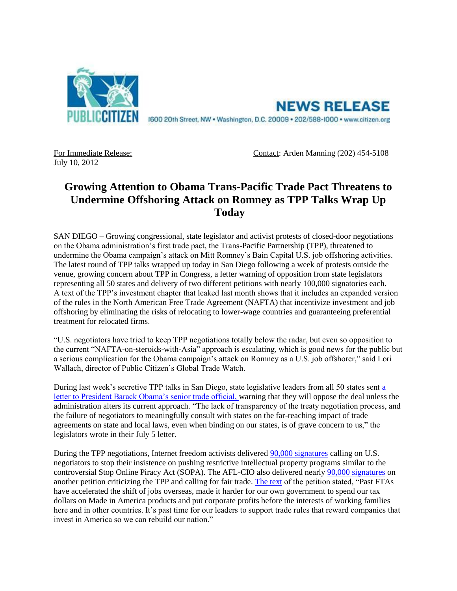

**NEWS RELEASE** 1600 20th Street, NW . Washington, D.C. 20009 . 202/588-1000 . www.citizen.org

July 10, 2012

For Immediate Release: Contact: Arden Manning (202) 454-5108

## **Growing Attention to Obama Trans-Pacific Trade Pact Threatens to Undermine Offshoring Attack on Romney as TPP Talks Wrap Up Today**

SAN DIEGO *–* Growing congressional, state legislator and activist protests of closed-door negotiations on the Obama administration's first trade pact, the Trans-Pacific Partnership (TPP), threatened to undermine the Obama campaign's attack on Mitt Romney's Bain Capital U.S. job offshoring activities. The latest round of TPP talks wrapped up today in San Diego following a week of protests outside the venue, growing concern about TPP in Congress, a letter warning of opposition from state legislators representing all 50 states and delivery of two different petitions with nearly 100,000 signatories each. A text of the TPP's investment chapter that leaked last month shows that it includes an expanded version of the rules in the North American Free Trade Agreement (NAFTA) that incentivize investment and job offshoring by eliminating the risks of relocating to lower-wage countries and guaranteeing preferential treatment for relocated firms.

"U.S. negotiators have tried to keep TPP negotiations totally below the radar, but even so opposition to the current "NAFTA-on-steroids-with-Asia" approach is escalating, which is good news for the public but a serious complication for the Obama campaign's attack on Romney as a U.S. job offshorer," said Lori Wallach, director of Public Citizen's Global Trade Watch.

During last week's secretive TPP talks in San Diego, state legislative leaders from all 50 states sent [a](http://r20.rs6.net/tn.jsp?e=001WlV5yA3NEWWo2tBGUNUidwsR-1v6zMclZxQhV02YfAAalLB6eJdFlO-eHHylBRizg_cdL71MTWMxLgFK7RXMET7siLfGuLmJfHnFyQI_gOyjt7_WisG66V687G_tPyT8ae8m-jEozAr5MkAzaRfTYkG7fBX7z8FEJZFcW-_iJ76ijMs1i39ZRRLQ0SsLt5eB7jQzJW1rakM=)  [letter to President Barack Obama's senior trade official, w](http://r20.rs6.net/tn.jsp?e=001WlV5yA3NEWWo2tBGUNUidwsR-1v6zMclZxQhV02YfAAalLB6eJdFlO-eHHylBRizg_cdL71MTWMxLgFK7RXMET7siLfGuLmJfHnFyQI_gOyjt7_WisG66V687G_tPyT8ae8m-jEozAr5MkAzaRfTYkG7fBX7z8FEJZFcW-_iJ76ijMs1i39ZRRLQ0SsLt5eB7jQzJW1rakM=)arning that they will oppose the deal unless the administration alters its current approach. "The lack of transparency of the treaty negotiation process, and the failure of negotiators to meaningfully consult with states on the far-reaching impact of trade agreements on state and local laws, even when binding on our states, is of grave concern to us," the legislators wrote in their July 5 letter.

During the TPP negotiations, Internet freedom activists delivered [90,000 signatures](http://bit.ly/Meu3tR) calling on U.S. negotiators to stop their insistence on pushing restrictive intellectual property programs similar to the controversial Stop Online Piracy Act (SOPA). The AFL-CIO also delivered nearly [90,000 signatures](http://bit.ly/LLP9Bj) on another petition criticizing the TPP and calling for fair trade. [The text](http://act.aflcio.org/c/18/p/dia/action3/common/public/?action_KEY=4617) of the petition stated, "Past FTAs have accelerated the shift of jobs overseas, made it harder for our own government to spend our tax dollars on Made in America products and put corporate profits before the interests of working families here and in other countries. It's past time for our leaders to support trade rules that reward companies that invest in America so we can rebuild our nation."